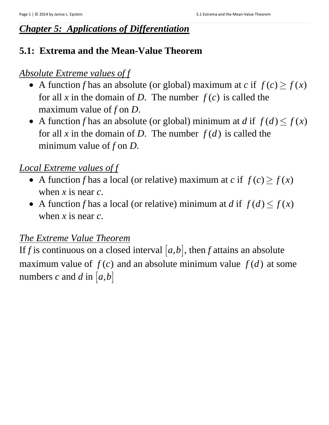### *Chapter 5: Applications of Differentiation*

## **5.1: Extrema and the Mean-Value Theorem**

### *Absolute Extreme values of f*

- A function *f* has an absolute (or global) maximum at *c* if  $f(c) \ge f(x)$ for all *x* in the domain of *D*. The number  $f(c)$  is called the maximum value of *f* on *D*.
- A function *f* has an absolute (or global) minimum at *d* if  $f(d) \le f(x)$ for all x in the domain of D. The number  $f(d)$  is called the minimum value of  $f$  on  $D$ .

## *Local Extreme values of f*

- A function *f* has a local (or relative) maximum at *c* if  $f(c) \ge f(x)$ when *x* is near *c*.
- A function *f* has a local (or relative) minimum at *d* if  $f(d) \le f(x)$ when *x* is near *c*.

#### *The Extreme Value Theorem*

If *f* is continuous on a closed interval  $[a,b]$ , then *f* attains an absolute maximum value of  $f(c)$  and an absolute minimum value  $f(d)$  at some numbers *c* and *d* in  $[a,b]$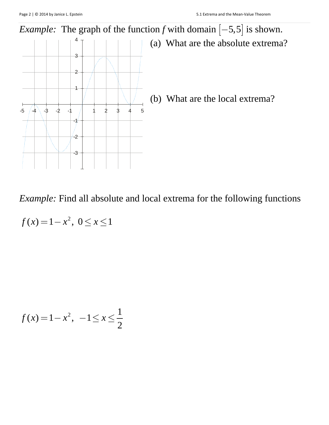

*Example:* Find all absolute and local extrema for the following functions

$$
f(x) = 1 - x^2, \ 0 \le x \le 1
$$

$$
f(x) = 1 - x^2, \ -1 \le x \le \frac{1}{2}
$$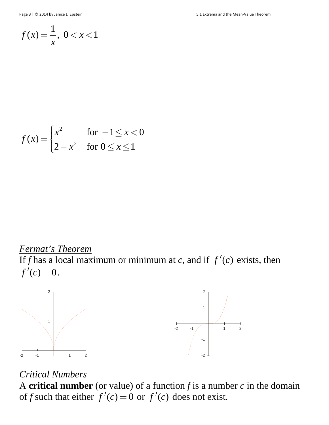$$
f(x) = \frac{1}{x}, \ 0 < x < 1
$$

$$
f(x) = \begin{cases} x^2 & \text{for } -1 \le x < 0 \\ 2 - x^2 & \text{for } 0 \le x \le 1 \end{cases}
$$

*Fermat's Theorem*  If *f* has a local maximum or minimum at *c*, and if  $f'(c)$  exists, then  $f'(c) = 0.$ 



#### *Critical Numbers*

A **critical number** (or value) of a function *f* is a number *c* in the domain of *f* such that either  $f'(c) = 0$  or  $f'(c)$  does not exist.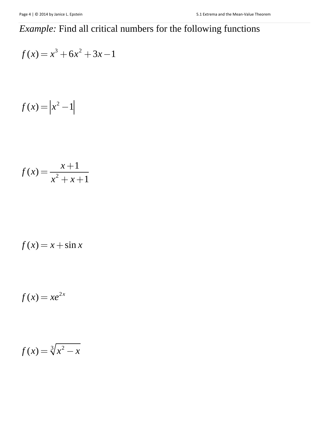# *Example:* Find all critical numbers for the following functions

$$
f(x) = x^3 + 6x^2 + 3x - 1
$$

$$
f(x) = \left| x^2 - 1 \right|
$$

$$
f(x) = \frac{x+1}{x^2 + x + 1}
$$

$$
f(x) = x + \sin x
$$

$$
f(x) = xe^{2x}
$$

$$
f(x) = \sqrt[3]{x^2 - x}
$$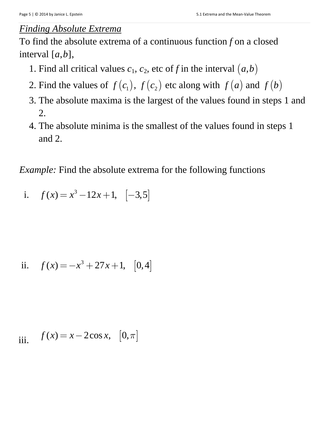#### *Finding Absolute Extrema*

To find the absolute extrema of a continuous function *f* on a closed interval  $[a, b]$ ,

- 1. Find all critical values  $c_1$ ,  $c_2$ , etc of f in the interval  $(a,b)$
- 2. Find the values of  $f(c_1)$ ,  $f(c_2)$  etc along with  $f(a)$  and  $f(b)$
- 3. The absolute maxima is the largest of the values found in steps 1 and 2.
- 4. The absolute minima is the smallest of the values found in steps 1 and 2.

*Example:* Find the absolute extrema for the following functions

i.  $f ( x ) = x^3 - 12x + 1, \quad [-3, 5]$ 

ii. 
$$
f(x) = -x^3 + 27x + 1
$$
, [0,4]

iii. 
$$
f(x) = x - 2\cos x, [0, \pi]
$$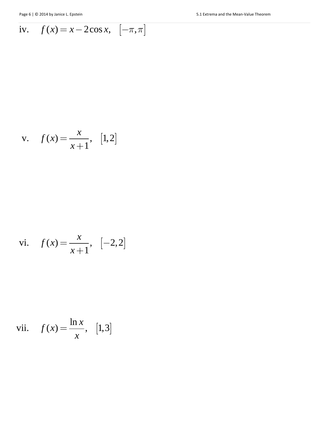iv. 
$$
f(x) = x - 2\cos x, \quad [-\pi, \pi]
$$

v. 
$$
f(x) = \frac{x}{x+1}
$$
, [1,2]

vi. 
$$
f(x) = \frac{x}{x+1}
$$
, [-2,2]

vii. 
$$
f(x) = \frac{\ln x}{x}
$$
, [1,3]